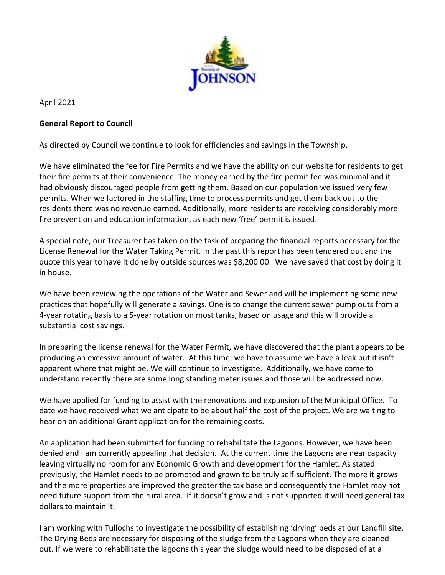

April 2021

## **General Report to Council**

As directed by Council we continue to look for efficiencies and savings in the Township.

We have eliminated the fee for Fire Permits and we have the ability on our website for residents to get their fire permits at their convenience. The money earned by the fire permit fee was minimal and it had obviously discouraged people from getting them. Based on our population we issued very few permits. When we factored in the staffing time to process permits and get them back out to the residents there was no revenue earned. Additionally, more residents are receiving considerably more fire prevention and education information, as each new 'free' permit is issued.

A special note, our Treasurer has taken on the task of preparing the financial reports necessary for the License Renewal for the Water Taking Permit. In the past this report has been tendered out and the quote this year to have it done by outside sources was \$8,200.00. We have saved that cost by doing it in house.

We have been reviewing the operations of the Water and Sewer and will be implementing some new practices that hopefully will generate a savings. One is to change the current sewer pump outs from a 4-year rotating basis to a 5-year rotation on most tanks, based on usage and this will provide a substantial cost savings.

In preparing the license renewal for the Water Permit, we have discovered that the plant appears to be producing an excessive amount of water. At this time, we have to assume we have a leak but it isn't apparent where that might be. We will continue to investigate. Additionally, we have come to understand recently there are some long standing meter issues and those will be addressed now.

We have applied for funding to assist with the renovations and expansion of the Municipal Office. To date we have received what we anticipate to be about half the cost of the project. We are waiting to hear on an additional Grant application for the remaining costs.

An application had been submitted for funding to rehabilitate the Lagoons. However, we have been denied and I am currently appealing that decision. At the current time the Lagoons are near capacity leaving virtually no room for any Economic Growth and development for the Hamlet. As stated previously, the Hamlet needs to be promoted and grown to be truly self-sufficient. The more it grows and the more properties are improved the greater the tax base and consequently the Hamlet may not need future support from the rural area. If it doesn't grow and is not supported it will need general tax dollars to maintain it.

I am working with Tullochs to investigate the possibility of establishing 'drying' beds at our Landfill site. The Drying Beds are necessary for disposing of the sludge from the Lagoons when they are cleaned out. If we were to rehabilitate the lagoons this year the sludge would need to be disposed of at a